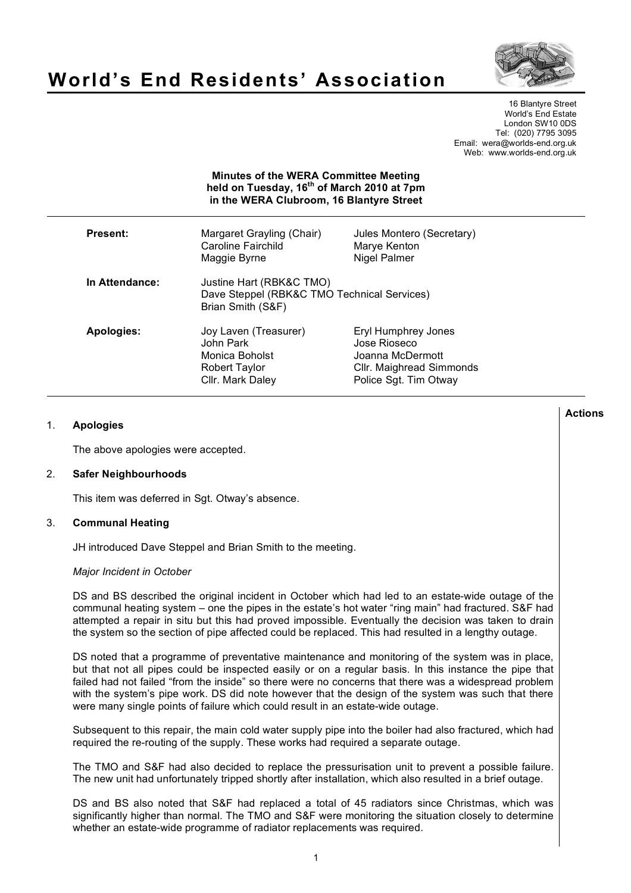

# **World's End Residents' Association**

16 Blantyre Street World's End Estate London SW10 0DS Tel: (020) 7795 3095 Email: wera@worlds-end.org.uk Web: www.worlds-end.org.uk

## **Minutes of the WERA Committee Meeting held on Tuesday, 16th of March 2010 at 7pm in the WERA Clubroom, 16 Blantyre Street**

| Present:       | Margaret Grayling (Chair)<br>Caroline Fairchild<br>Maggie Byrne                              | Jules Montero (Secretary)<br>Marye Kenton<br>Nigel Palmer                                                    |
|----------------|----------------------------------------------------------------------------------------------|--------------------------------------------------------------------------------------------------------------|
| In Attendance: | Justine Hart (RBK&C TMO)<br>Dave Steppel (RBK&C TMO Technical Services)<br>Brian Smith (S&F) |                                                                                                              |
| Apologies:     | Joy Laven (Treasurer)<br>John Park<br>Monica Boholst<br>Robert Taylor<br>Cllr. Mark Daley    | Eryl Humphrey Jones<br>Jose Rioseco<br>Joanna McDermott<br>Cllr. Maighread Simmonds<br>Police Sgt. Tim Otway |

# 1. **Apologies**

The above apologies were accepted.

## 2. **Safer Neighbourhoods**

This item was deferred in Sgt. Otway's absence.

## 3. **Communal Heating**

JH introduced Dave Steppel and Brian Smith to the meeting.

#### *Major Incident in October*

DS and BS described the original incident in October which had led to an estate-wide outage of the communal heating system – one the pipes in the estate's hot water "ring main" had fractured. S&F had attempted a repair in situ but this had proved impossible. Eventually the decision was taken to drain the system so the section of pipe affected could be replaced. This had resulted in a lengthy outage.

DS noted that a programme of preventative maintenance and monitoring of the system was in place, but that not all pipes could be inspected easily or on a regular basis. In this instance the pipe that failed had not failed "from the inside" so there were no concerns that there was a widespread problem with the system's pipe work. DS did note however that the design of the system was such that there were many single points of failure which could result in an estate-wide outage.

Subsequent to this repair, the main cold water supply pipe into the boiler had also fractured, which had required the re-routing of the supply. These works had required a separate outage.

The TMO and S&F had also decided to replace the pressurisation unit to prevent a possible failure. The new unit had unfortunately tripped shortly after installation, which also resulted in a brief outage.

DS and BS also noted that S&F had replaced a total of 45 radiators since Christmas, which was significantly higher than normal. The TMO and S&F were monitoring the situation closely to determine whether an estate-wide programme of radiator replacements was required.

**Actions**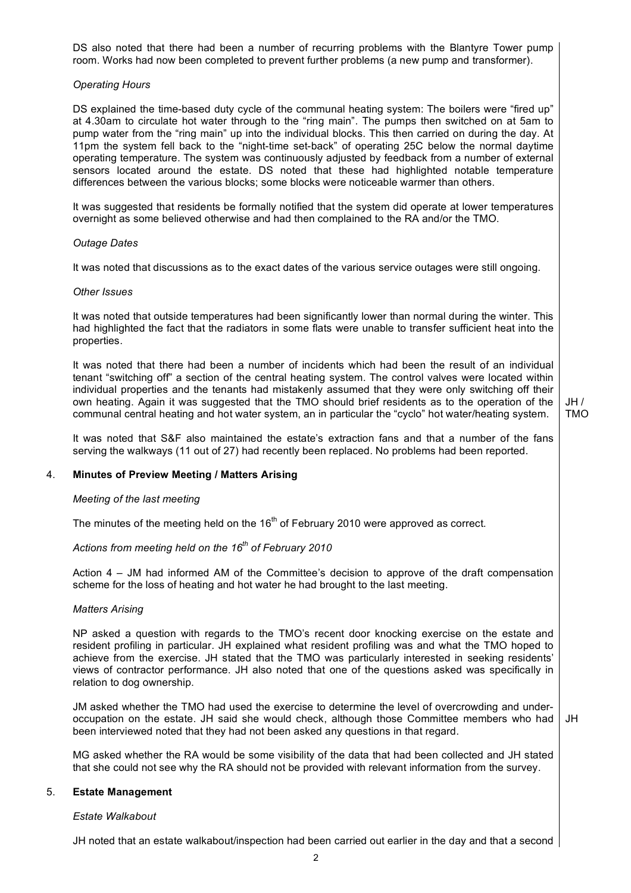DS also noted that there had been a number of recurring problems with the Blantyre Tower pump room. Works had now been completed to prevent further problems (a new pump and transformer).

## *Operating Hours*

DS explained the time-based duty cycle of the communal heating system: The boilers were "fired up" at 4.30am to circulate hot water through to the "ring main". The pumps then switched on at 5am to pump water from the "ring main" up into the individual blocks. This then carried on during the day. At 11pm the system fell back to the "night-time set-back" of operating 25C below the normal daytime operating temperature. The system was continuously adjusted by feedback from a number of external sensors located around the estate. DS noted that these had highlighted notable temperature differences between the various blocks; some blocks were noticeable warmer than others.

It was suggested that residents be formally notified that the system did operate at lower temperatures overnight as some believed otherwise and had then complained to the RA and/or the TMO.

#### *Outage Dates*

It was noted that discussions as to the exact dates of the various service outages were still ongoing.

#### *Other Issues*

It was noted that outside temperatures had been significantly lower than normal during the winter. This had highlighted the fact that the radiators in some flats were unable to transfer sufficient heat into the properties.

It was noted that there had been a number of incidents which had been the result of an individual tenant "switching off" a section of the central heating system. The control valves were located within individual properties and the tenants had mistakenly assumed that they were only switching off their own heating. Again it was suggested that the TMO should brief residents as to the operation of the communal central heating and hot water system, an in particular the "cyclo" hot water/heating system.

 $JH /$ TMO

It was noted that S&F also maintained the estate's extraction fans and that a number of the fans serving the walkways (11 out of 27) had recently been replaced. No problems had been reported.

## 4. **Minutes of Preview Meeting / Matters Arising**

#### *Meeting of the last meeting*

The minutes of the meeting held on the 16<sup>th</sup> of February 2010 were approved as correct.

# *Actions from meeting held on the 16th of February 2010*

Action 4 – JM had informed AM of the Committee's decision to approve of the draft compensation scheme for the loss of heating and hot water he had brought to the last meeting.

# *Matters Arising*

NP asked a question with regards to the TMO's recent door knocking exercise on the estate and resident profiling in particular. JH explained what resident profiling was and what the TMO hoped to achieve from the exercise. JH stated that the TMO was particularly interested in seeking residents' views of contractor performance. JH also noted that one of the questions asked was specifically in relation to dog ownership.

JM asked whether the TMO had used the exercise to determine the level of overcrowding and underoccupation on the estate. JH said she would check, although those Committee members who had been interviewed noted that they had not been asked any questions in that regard.

JH

MG asked whether the RA would be some visibility of the data that had been collected and JH stated that she could not see why the RA should not be provided with relevant information from the survey.

## 5. **Estate Management**

#### *Estate Walkabout*

JH noted that an estate walkabout/inspection had been carried out earlier in the day and that a second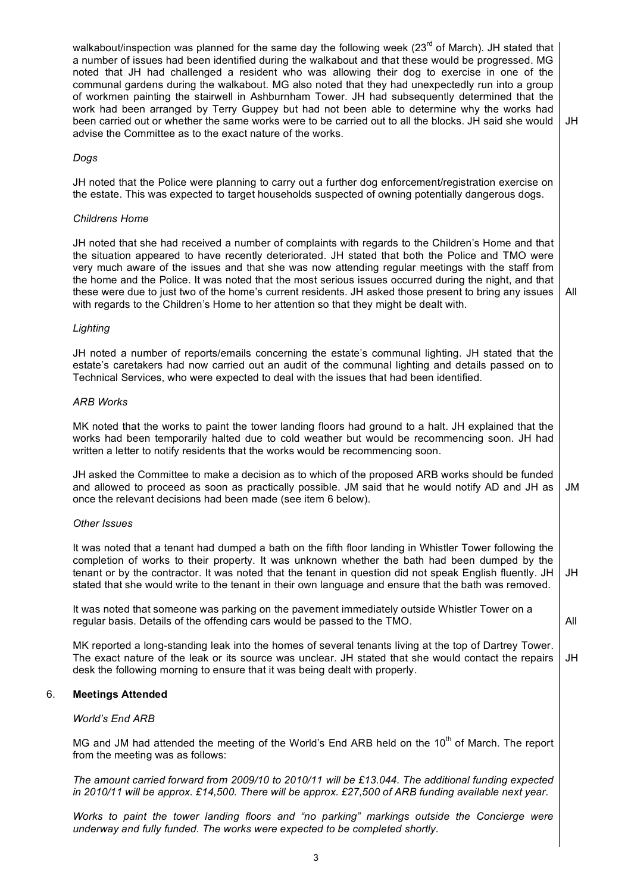walkabout/inspection was planned for the same day the following week (23<sup>rd</sup> of March). JH stated that a number of issues had been identified during the walkabout and that these would be progressed. MG noted that JH had challenged a resident who was allowing their dog to exercise in one of the communal gardens during the walkabout. MG also noted that they had unexpectedly run into a group of workmen painting the stairwell in Ashburnham Tower. JH had subsequently determined that the work had been arranged by Terry Guppey but had not been able to determine why the works had been carried out or whether the same works were to be carried out to all the blocks. JH said she would advise the Committee as to the exact nature of the works.

JH

All

## *Dogs*

JH noted that the Police were planning to carry out a further dog enforcement/registration exercise on the estate. This was expected to target households suspected of owning potentially dangerous dogs.

#### *Childrens Home*

JH noted that she had received a number of complaints with regards to the Children's Home and that the situation appeared to have recently deteriorated. JH stated that both the Police and TMO were very much aware of the issues and that she was now attending regular meetings with the staff from the home and the Police. It was noted that the most serious issues occurred during the night, and that these were due to just two of the home's current residents. JH asked those present to bring any issues with regards to the Children's Home to her attention so that they might be dealt with.

## *Lighting*

JH noted a number of reports/emails concerning the estate's communal lighting. JH stated that the estate's caretakers had now carried out an audit of the communal lighting and details passed on to Technical Services, who were expected to deal with the issues that had been identified.

## *ARB Works*

MK noted that the works to paint the tower landing floors had ground to a halt. JH explained that the works had been temporarily halted due to cold weather but would be recommencing soon. JH had written a letter to notify residents that the works would be recommencing soon.

JH asked the Committee to make a decision as to which of the proposed ARB works should be funded and allowed to proceed as soon as practically possible. JM said that he would notify AD and JH as once the relevant decisions had been made (see item 6 below). JM

#### *Other Issues*

It was noted that a tenant had dumped a bath on the fifth floor landing in Whistler Tower following the completion of works to their property. It was unknown whether the bath had been dumped by the tenant or by the contractor. It was noted that the tenant in question did not speak English fluently. JH stated that she would write to the tenant in their own language and ensure that the bath was removed. JH

It was noted that someone was parking on the pavement immediately outside Whistler Tower on a regular basis. Details of the offending cars would be passed to the TMO.

All

MK reported a long-standing leak into the homes of several tenants living at the top of Dartrey Tower. The exact nature of the leak or its source was unclear. JH stated that she would contact the repairs desk the following morning to ensure that it was being dealt with properly. JH

# 6. **Meetings Attended**

# *World's End ARB*

MG and JM had attended the meeting of the World's End ARB held on the 10<sup>th</sup> of March. The report from the meeting was as follows:

*The amount carried forward from 2009/10 to 2010/11 will be £13.044. The additional funding expected in 2010/11 will be approx. £14,500. There will be approx. £27,500 of ARB funding available next year.* 

*Works to paint the tower landing floors and "no parking" markings outside the Concierge were underway and fully funded. The works were expected to be completed shortly.*